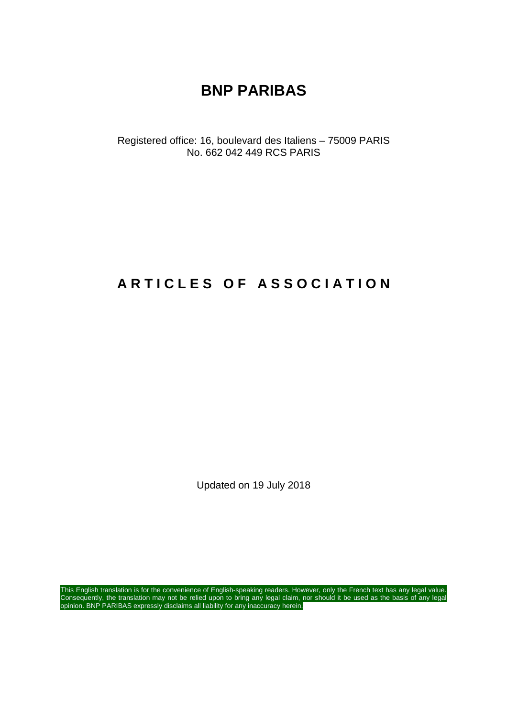# **BNP PARIBAS**

Registered office: 16, boulevard des Italiens – 75009 PARIS No. 662 042 449 RCS PARIS

# **A R T I C L E S O F A S S O C I A T I O N**

Updated on 19 July 2018

This English translation is for the convenience of English-speaking readers. However, only the French text has any legal value. Consequently, the translation may not be relied upon to bring any legal claim, nor should it be used as the basis of any legal opinion. BNP PARIBAS expressly disclaims all liability for any inaccuracy herein.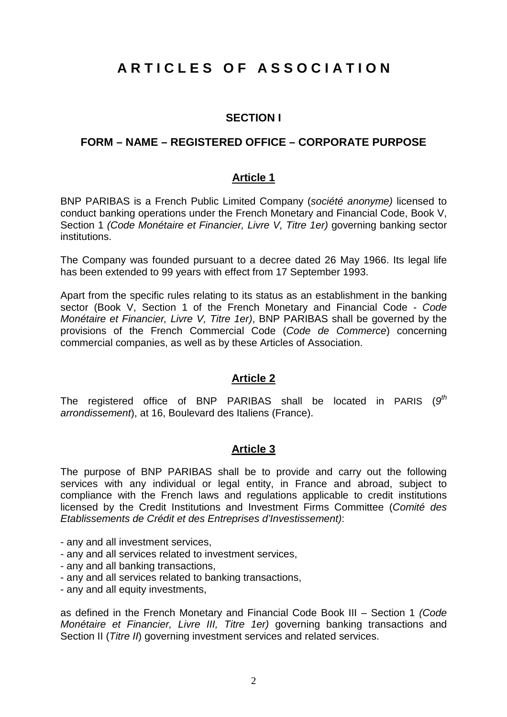# **A R T I C L E S O F A S S O C I A T I O N**

#### **SECTION I**

#### **FORM – NAME – REGISTERED OFFICE – CORPORATE PURPOSE**

#### **Article 1**

BNP PARIBAS is a French Public Limited Company (*société anonyme)* licensed to conduct banking operations under the French Monetary and Financial Code, Book V, Section 1 *(Code Monétaire et Financier, Livre V, Titre 1er)* governing banking sector institutions.

The Company was founded pursuant to a decree dated 26 May 1966. Its legal life has been extended to 99 years with effect from 17 September 1993.

Apart from the specific rules relating to its status as an establishment in the banking sector (Book V, Section 1 of the French Monetary and Financial Code - *Code Monétaire et Financier, Livre V, Titre 1er)*, BNP PARIBAS shall be governed by the provisions of the French Commercial Code (*Code de Commerce*) concerning commercial companies, as well as by these Articles of Association.

#### **Article 2**

The registered office of BNP PARIBAS shall be located in PARIS (*9 th arrondissement*), at 16, Boulevard des Italiens (France).

#### **Article 3**

The purpose of BNP PARIBAS shall be to provide and carry out the following services with any individual or legal entity, in France and abroad, subject to compliance with the French laws and regulations applicable to credit institutions licensed by the Credit Institutions and Investment Firms Committee (*Comité des Etablissements de Crédit et des Entreprises d'Investissement)*:

- any and all investment services,
- any and all services related to investment services,
- any and all banking transactions,
- any and all services related to banking transactions,
- any and all equity investments,

as defined in the French Monetary and Financial Code Book III – Section 1 *(Code Monétaire et Financier, Livre III, Titre 1er)* governing banking transactions and Section II (*Titre II*) governing investment services and related services.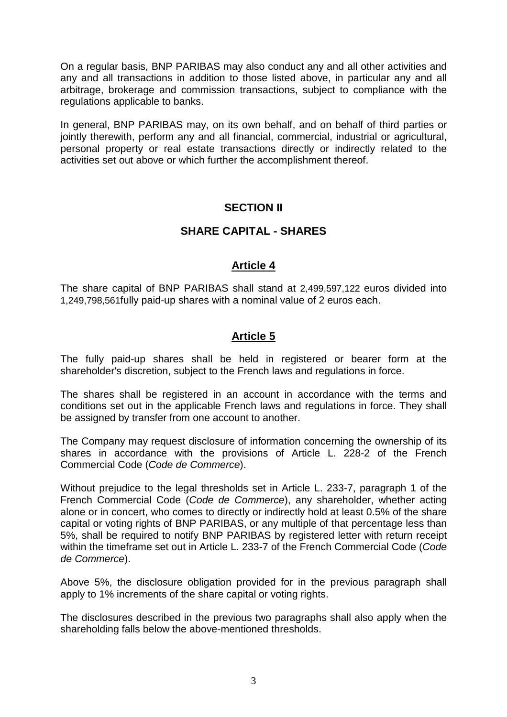On a regular basis, BNP PARIBAS may also conduct any and all other activities and any and all transactions in addition to those listed above, in particular any and all arbitrage, brokerage and commission transactions, subject to compliance with the regulations applicable to banks.

In general, BNP PARIBAS may, on its own behalf, and on behalf of third parties or jointly therewith, perform any and all financial, commercial, industrial or agricultural, personal property or real estate transactions directly or indirectly related to the activities set out above or which further the accomplishment thereof.

#### **SECTION II**

#### **SHARE CAPITAL - SHARES**

#### **Article 4**

The share capital of BNP PARIBAS shall stand at 2,499,597,122 euros divided into 1,249,798,561fully paid-up shares with a nominal value of 2 euros each.

#### **Article 5**

The fully paid-up shares shall be held in registered or bearer form at the shareholder's discretion, subject to the French laws and regulations in force.

The shares shall be registered in an account in accordance with the terms and conditions set out in the applicable French laws and regulations in force. They shall be assigned by transfer from one account to another.

The Company may request disclosure of information concerning the ownership of its shares in accordance with the provisions of Article L. 228-2 of the French Commercial Code (*Code de Commerce*).

Without prejudice to the legal thresholds set in Article L. 233-7, paragraph 1 of the French Commercial Code (*Code de Commerce*), any shareholder, whether acting alone or in concert, who comes to directly or indirectly hold at least 0.5% of the share capital or voting rights of BNP PARIBAS, or any multiple of that percentage less than 5%, shall be required to notify BNP PARIBAS by registered letter with return receipt within the timeframe set out in Article L. 233-7 of the French Commercial Code (*Code de Commerce*).

Above 5%, the disclosure obligation provided for in the previous paragraph shall apply to 1% increments of the share capital or voting rights.

The disclosures described in the previous two paragraphs shall also apply when the shareholding falls below the above-mentioned thresholds.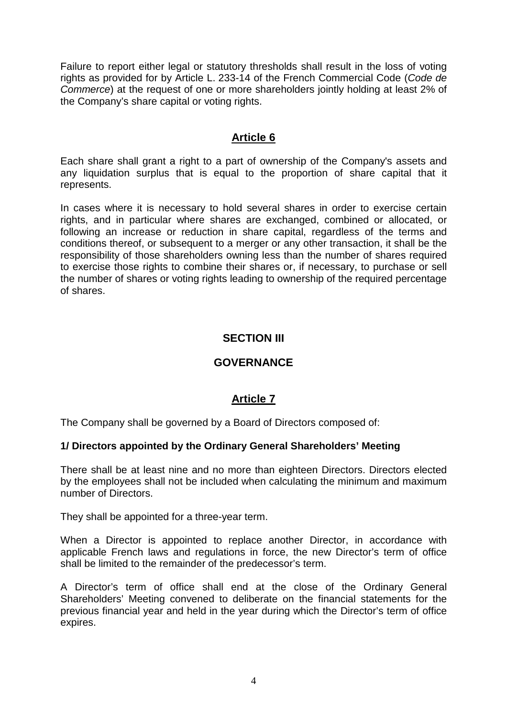Failure to report either legal or statutory thresholds shall result in the loss of voting rights as provided for by Article L. 233-14 of the French Commercial Code (*Code de Commerce*) at the request of one or more shareholders jointly holding at least 2% of the Company's share capital or voting rights.

#### **Article 6**

Each share shall grant a right to a part of ownership of the Company's assets and any liquidation surplus that is equal to the proportion of share capital that it represents.

In cases where it is necessary to hold several shares in order to exercise certain rights, and in particular where shares are exchanged, combined or allocated, or following an increase or reduction in share capital, regardless of the terms and conditions thereof, or subsequent to a merger or any other transaction, it shall be the responsibility of those shareholders owning less than the number of shares required to exercise those rights to combine their shares or, if necessary, to purchase or sell the number of shares or voting rights leading to ownership of the required percentage of shares.

# **SECTION III**

# **GOVERNANCE**

# **Article 7**

The Company shall be governed by a Board of Directors composed of:

#### **1/ Directors appointed by the Ordinary General Shareholders' Meeting**

There shall be at least nine and no more than eighteen Directors. Directors elected by the employees shall not be included when calculating the minimum and maximum number of Directors.

They shall be appointed for a three-year term.

When a Director is appointed to replace another Director, in accordance with applicable French laws and regulations in force, the new Director's term of office shall be limited to the remainder of the predecessor's term.

A Director's term of office shall end at the close of the Ordinary General Shareholders' Meeting convened to deliberate on the financial statements for the previous financial year and held in the year during which the Director's term of office expires.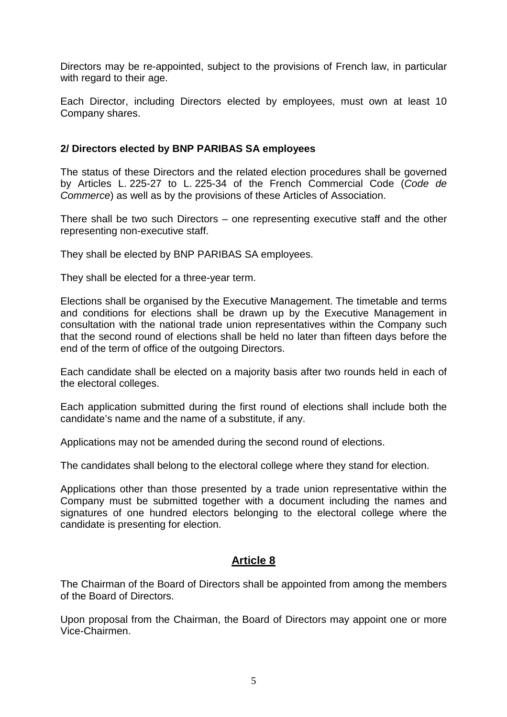Directors may be re-appointed, subject to the provisions of French law, in particular with regard to their age.

Each Director, including Directors elected by employees, must own at least 10 Company shares.

#### **2/ Directors elected by BNP PARIBAS SA employees**

The status of these Directors and the related election procedures shall be governed by Articles L. 225-27 to L. 225-34 of the French Commercial Code (*Code de Commerce*) as well as by the provisions of these Articles of Association.

There shall be two such Directors – one representing executive staff and the other representing non-executive staff.

They shall be elected by BNP PARIBAS SA employees.

They shall be elected for a three-year term.

Elections shall be organised by the Executive Management. The timetable and terms and conditions for elections shall be drawn up by the Executive Management in consultation with the national trade union representatives within the Company such that the second round of elections shall be held no later than fifteen days before the end of the term of office of the outgoing Directors.

Each candidate shall be elected on a majority basis after two rounds held in each of the electoral colleges.

Each application submitted during the first round of elections shall include both the candidate's name and the name of a substitute, if any.

Applications may not be amended during the second round of elections.

The candidates shall belong to the electoral college where they stand for election.

Applications other than those presented by a trade union representative within the Company must be submitted together with a document including the names and signatures of one hundred electors belonging to the electoral college where the candidate is presenting for election.

#### **Article 8**

The Chairman of the Board of Directors shall be appointed from among the members of the Board of Directors.

Upon proposal from the Chairman, the Board of Directors may appoint one or more Vice-Chairmen.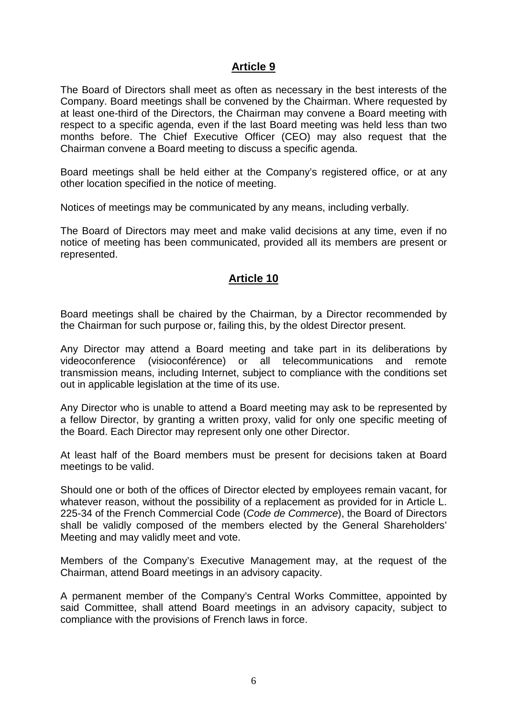#### **Article 9**

The Board of Directors shall meet as often as necessary in the best interests of the Company. Board meetings shall be convened by the Chairman. Where requested by at least one-third of the Directors, the Chairman may convene a Board meeting with respect to a specific agenda, even if the last Board meeting was held less than two months before. The Chief Executive Officer (CEO) may also request that the Chairman convene a Board meeting to discuss a specific agenda.

Board meetings shall be held either at the Company's registered office, or at any other location specified in the notice of meeting.

Notices of meetings may be communicated by any means, including verbally.

The Board of Directors may meet and make valid decisions at any time, even if no notice of meeting has been communicated, provided all its members are present or represented.

#### **Article 10**

Board meetings shall be chaired by the Chairman, by a Director recommended by the Chairman for such purpose or, failing this, by the oldest Director present.

Any Director may attend a Board meeting and take part in its deliberations by videoconference (visioconférence) or all telecommunications and remote transmission means, including Internet, subject to compliance with the conditions set out in applicable legislation at the time of its use.

Any Director who is unable to attend a Board meeting may ask to be represented by a fellow Director, by granting a written proxy, valid for only one specific meeting of the Board. Each Director may represent only one other Director.

At least half of the Board members must be present for decisions taken at Board meetings to be valid.

Should one or both of the offices of Director elected by employees remain vacant, for whatever reason, without the possibility of a replacement as provided for in Article L. 225-34 of the French Commercial Code (*Code de Commerce*), the Board of Directors shall be validly composed of the members elected by the General Shareholders' Meeting and may validly meet and vote.

Members of the Company's Executive Management may, at the request of the Chairman, attend Board meetings in an advisory capacity.

A permanent member of the Company's Central Works Committee, appointed by said Committee, shall attend Board meetings in an advisory capacity, subject to compliance with the provisions of French laws in force.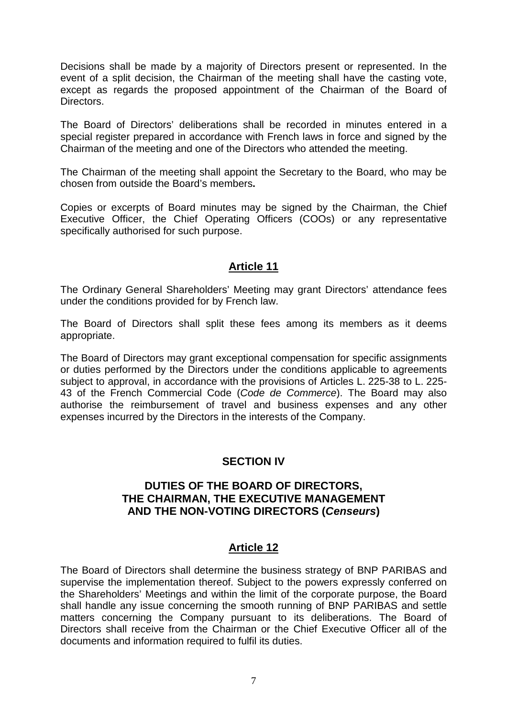Decisions shall be made by a majority of Directors present or represented. In the event of a split decision, the Chairman of the meeting shall have the casting vote, except as regards the proposed appointment of the Chairman of the Board of Directors.

The Board of Directors' deliberations shall be recorded in minutes entered in a special register prepared in accordance with French laws in force and signed by the Chairman of the meeting and one of the Directors who attended the meeting.

The Chairman of the meeting shall appoint the Secretary to the Board, who may be chosen from outside the Board's members**.**

Copies or excerpts of Board minutes may be signed by the Chairman, the Chief Executive Officer, the Chief Operating Officers (COOs) or any representative specifically authorised for such purpose.

# **Article 11**

The Ordinary General Shareholders' Meeting may grant Directors' attendance fees under the conditions provided for by French law.

The Board of Directors shall split these fees among its members as it deems appropriate.

The Board of Directors may grant exceptional compensation for specific assignments or duties performed by the Directors under the conditions applicable to agreements subject to approval, in accordance with the provisions of Articles L. 225-38 to L. 225- 43 of the French Commercial Code (*Code de Commerce*). The Board may also authorise the reimbursement of travel and business expenses and any other expenses incurred by the Directors in the interests of the Company.

#### **SECTION IV**

#### **DUTIES OF THE BOARD OF DIRECTORS, THE CHAIRMAN, THE EXECUTIVE MANAGEMENT AND THE NON-VOTING DIRECTORS (***Censeurs***)**

# **Article 12**

The Board of Directors shall determine the business strategy of BNP PARIBAS and supervise the implementation thereof. Subject to the powers expressly conferred on the Shareholders' Meetings and within the limit of the corporate purpose, the Board shall handle any issue concerning the smooth running of BNP PARIBAS and settle matters concerning the Company pursuant to its deliberations. The Board of Directors shall receive from the Chairman or the Chief Executive Officer all of the documents and information required to fulfil its duties.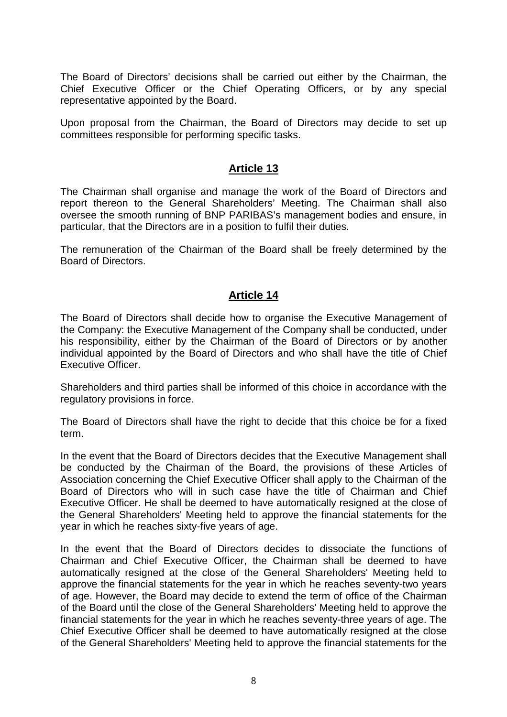The Board of Directors' decisions shall be carried out either by the Chairman, the Chief Executive Officer or the Chief Operating Officers, or by any special representative appointed by the Board.

Upon proposal from the Chairman, the Board of Directors may decide to set up committees responsible for performing specific tasks.

#### **Article 13**

The Chairman shall organise and manage the work of the Board of Directors and report thereon to the General Shareholders' Meeting. The Chairman shall also oversee the smooth running of BNP PARIBAS's management bodies and ensure, in particular, that the Directors are in a position to fulfil their duties.

The remuneration of the Chairman of the Board shall be freely determined by the Board of Directors.

#### **Article 14**

The Board of Directors shall decide how to organise the Executive Management of the Company: the Executive Management of the Company shall be conducted, under his responsibility, either by the Chairman of the Board of Directors or by another individual appointed by the Board of Directors and who shall have the title of Chief Executive Officer.

Shareholders and third parties shall be informed of this choice in accordance with the regulatory provisions in force.

The Board of Directors shall have the right to decide that this choice be for a fixed term.

In the event that the Board of Directors decides that the Executive Management shall be conducted by the Chairman of the Board, the provisions of these Articles of Association concerning the Chief Executive Officer shall apply to the Chairman of the Board of Directors who will in such case have the title of Chairman and Chief Executive Officer. He shall be deemed to have automatically resigned at the close of the General Shareholders' Meeting held to approve the financial statements for the year in which he reaches sixty-five years of age.

In the event that the Board of Directors decides to dissociate the functions of Chairman and Chief Executive Officer, the Chairman shall be deemed to have automatically resigned at the close of the General Shareholders' Meeting held to approve the financial statements for the year in which he reaches seventy-two years of age. However, the Board may decide to extend the term of office of the Chairman of the Board until the close of the General Shareholders' Meeting held to approve the financial statements for the year in which he reaches seventy-three years of age. The Chief Executive Officer shall be deemed to have automatically resigned at the close of the General Shareholders' Meeting held to approve the financial statements for the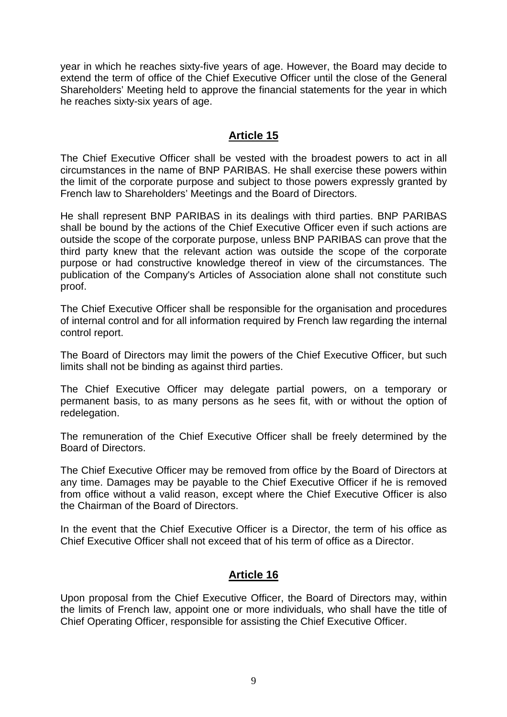year in which he reaches sixty-five years of age. However, the Board may decide to extend the term of office of the Chief Executive Officer until the close of the General Shareholders' Meeting held to approve the financial statements for the year in which he reaches sixty-six years of age.

#### **Article 15**

The Chief Executive Officer shall be vested with the broadest powers to act in all circumstances in the name of BNP PARIBAS. He shall exercise these powers within the limit of the corporate purpose and subject to those powers expressly granted by French law to Shareholders' Meetings and the Board of Directors.

He shall represent BNP PARIBAS in its dealings with third parties. BNP PARIBAS shall be bound by the actions of the Chief Executive Officer even if such actions are outside the scope of the corporate purpose, unless BNP PARIBAS can prove that the third party knew that the relevant action was outside the scope of the corporate purpose or had constructive knowledge thereof in view of the circumstances. The publication of the Company's Articles of Association alone shall not constitute such proof.

The Chief Executive Officer shall be responsible for the organisation and procedures of internal control and for all information required by French law regarding the internal control report.

The Board of Directors may limit the powers of the Chief Executive Officer, but such limits shall not be binding as against third parties.

The Chief Executive Officer may delegate partial powers, on a temporary or permanent basis, to as many persons as he sees fit, with or without the option of redelegation.

The remuneration of the Chief Executive Officer shall be freely determined by the Board of Directors.

The Chief Executive Officer may be removed from office by the Board of Directors at any time. Damages may be payable to the Chief Executive Officer if he is removed from office without a valid reason, except where the Chief Executive Officer is also the Chairman of the Board of Directors.

In the event that the Chief Executive Officer is a Director, the term of his office as Chief Executive Officer shall not exceed that of his term of office as a Director.

#### **Article 16**

Upon proposal from the Chief Executive Officer, the Board of Directors may, within the limits of French law, appoint one or more individuals, who shall have the title of Chief Operating Officer, responsible for assisting the Chief Executive Officer.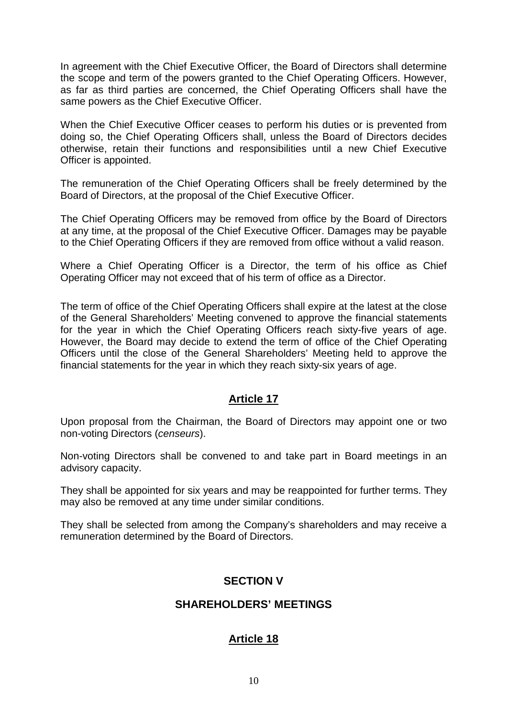In agreement with the Chief Executive Officer, the Board of Directors shall determine the scope and term of the powers granted to the Chief Operating Officers. However, as far as third parties are concerned, the Chief Operating Officers shall have the same powers as the Chief Executive Officer.

When the Chief Executive Officer ceases to perform his duties or is prevented from doing so, the Chief Operating Officers shall, unless the Board of Directors decides otherwise, retain their functions and responsibilities until a new Chief Executive Officer is appointed.

The remuneration of the Chief Operating Officers shall be freely determined by the Board of Directors, at the proposal of the Chief Executive Officer.

The Chief Operating Officers may be removed from office by the Board of Directors at any time, at the proposal of the Chief Executive Officer. Damages may be payable to the Chief Operating Officers if they are removed from office without a valid reason.

Where a Chief Operating Officer is a Director, the term of his office as Chief Operating Officer may not exceed that of his term of office as a Director.

The term of office of the Chief Operating Officers shall expire at the latest at the close of the General Shareholders' Meeting convened to approve the financial statements for the year in which the Chief Operating Officers reach sixty-five years of age. However, the Board may decide to extend the term of office of the Chief Operating Officers until the close of the General Shareholders' Meeting held to approve the financial statements for the year in which they reach sixty-six years of age.

# **Article 17**

Upon proposal from the Chairman, the Board of Directors may appoint one or two non-voting Directors (*censeurs*).

Non-voting Directors shall be convened to and take part in Board meetings in an advisory capacity.

They shall be appointed for six years and may be reappointed for further terms. They may also be removed at any time under similar conditions.

They shall be selected from among the Company's shareholders and may receive a remuneration determined by the Board of Directors.

# **SECTION V**

#### **SHAREHOLDERS' MEETINGS**

# **Article 18**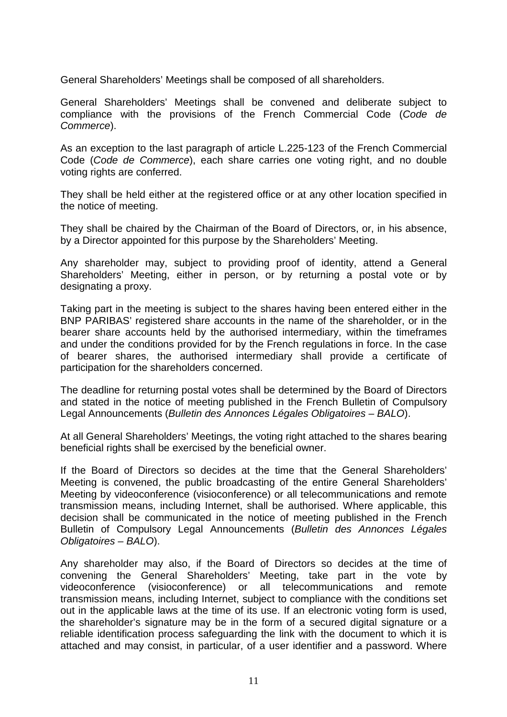General Shareholders' Meetings shall be composed of all shareholders.

General Shareholders' Meetings shall be convened and deliberate subject to compliance with the provisions of the French Commercial Code (*Code de Commerce*).

As an exception to the last paragraph of article L.225-123 of the French Commercial Code (*Code de Commerce*), each share carries one voting right, and no double voting rights are conferred.

They shall be held either at the registered office or at any other location specified in the notice of meeting.

They shall be chaired by the Chairman of the Board of Directors, or, in his absence, by a Director appointed for this purpose by the Shareholders' Meeting.

Any shareholder may, subject to providing proof of identity, attend a General Shareholders' Meeting, either in person, or by returning a postal vote or by designating a proxy.

Taking part in the meeting is subject to the shares having been entered either in the BNP PARIBAS' registered share accounts in the name of the shareholder, or in the bearer share accounts held by the authorised intermediary, within the timeframes and under the conditions provided for by the French regulations in force. In the case of bearer shares, the authorised intermediary shall provide a certificate of participation for the shareholders concerned.

The deadline for returning postal votes shall be determined by the Board of Directors and stated in the notice of meeting published in the French Bulletin of Compulsory Legal Announcements (*Bulletin des Annonces Légales Obligatoires – BALO*).

At all General Shareholders' Meetings, the voting right attached to the shares bearing beneficial rights shall be exercised by the beneficial owner.

If the Board of Directors so decides at the time that the General Shareholders' Meeting is convened, the public broadcasting of the entire General Shareholders' Meeting by videoconference (visioconference) or all telecommunications and remote transmission means, including Internet, shall be authorised. Where applicable, this decision shall be communicated in the notice of meeting published in the French Bulletin of Compulsory Legal Announcements (*Bulletin des Annonces Légales Obligatoires – BALO*).

Any shareholder may also, if the Board of Directors so decides at the time of convening the General Shareholders' Meeting, take part in the vote by videoconference (visioconference) or all telecommunications and remote transmission means, including Internet, subject to compliance with the conditions set out in the applicable laws at the time of its use. If an electronic voting form is used, the shareholder's signature may be in the form of a secured digital signature or a reliable identification process safeguarding the link with the document to which it is attached and may consist, in particular, of a user identifier and a password. Where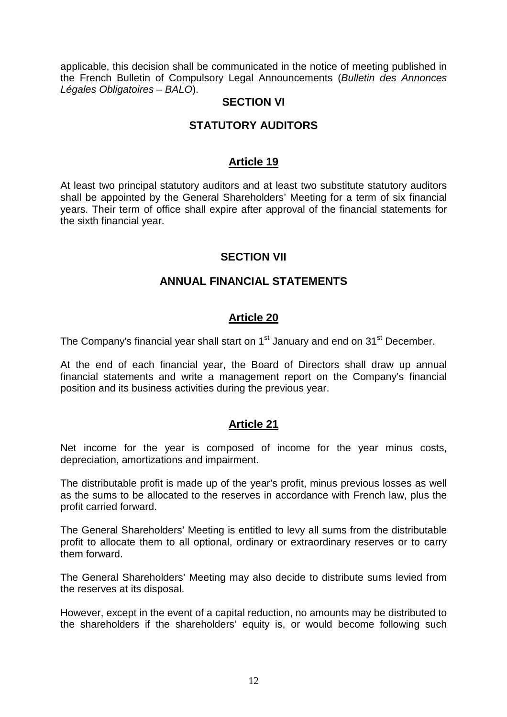applicable, this decision shall be communicated in the notice of meeting published in the French Bulletin of Compulsory Legal Announcements (*Bulletin des Annonces Légales Obligatoires – BALO*).

#### **SECTION VI**

# **STATUTORY AUDITORS**

#### **Article 19**

At least two principal statutory auditors and at least two substitute statutory auditors shall be appointed by the General Shareholders' Meeting for a term of six financial years. Their term of office shall expire after approval of the financial statements for the sixth financial year.

#### **SECTION VII**

#### **ANNUAL FINANCIAL STATEMENTS**

#### **Article 20**

The Company's financial year shall start on 1<sup>st</sup> January and end on 31<sup>st</sup> December.

At the end of each financial year, the Board of Directors shall draw up annual financial statements and write a management report on the Company's financial position and its business activities during the previous year.

#### **Article 21**

Net income for the year is composed of income for the year minus costs, depreciation, amortizations and impairment.

The distributable profit is made up of the year's profit, minus previous losses as well as the sums to be allocated to the reserves in accordance with French law, plus the profit carried forward.

The General Shareholders' Meeting is entitled to levy all sums from the distributable profit to allocate them to all optional, ordinary or extraordinary reserves or to carry them forward.

The General Shareholders' Meeting may also decide to distribute sums levied from the reserves at its disposal.

However, except in the event of a capital reduction, no amounts may be distributed to the shareholders if the shareholders' equity is, or would become following such